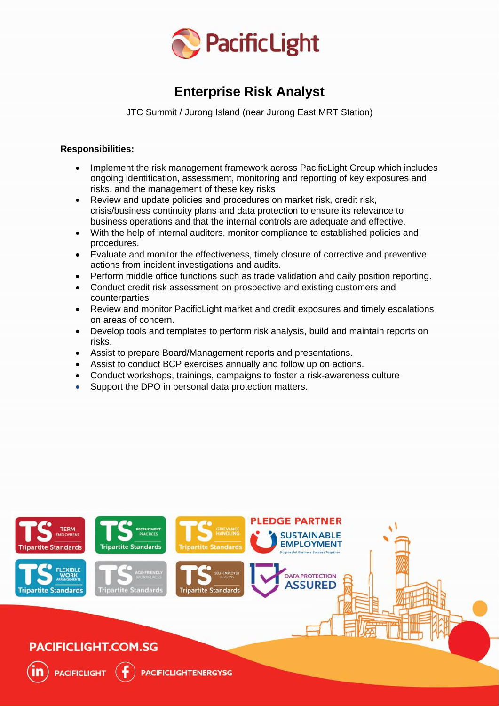

# **Enterprise Risk Analyst**

JTC Summit / Jurong Island (near Jurong East MRT Station)

## **Responsibilities:**

- Implement the risk management framework across PacificLight Group which includes ongoing identification, assessment, monitoring and reporting of key exposures and risks, and the management of these key risks
- Review and update policies and procedures on market risk, credit risk, crisis/business continuity plans and data protection to ensure its relevance to business operations and that the internal controls are adequate and effective.
- With the help of internal auditors, monitor compliance to established policies and procedures.
- Evaluate and monitor the effectiveness, timely closure of corrective and preventive actions from incident investigations and audits.
- Perform middle office functions such as trade validation and daily position reporting.
- Conduct credit risk assessment on prospective and existing customers and counterparties
- Review and monitor PacificLight market and credit exposures and timely escalations on areas of concern.
- Develop tools and templates to perform risk analysis, build and maintain reports on risks.
- Assist to prepare Board/Management reports and presentations.
- Assist to conduct BCP exercises annually and follow up on actions.
- Conduct workshops, trainings, campaigns to foster a risk-awareness culture
- Support the DPO in personal data protection matters.